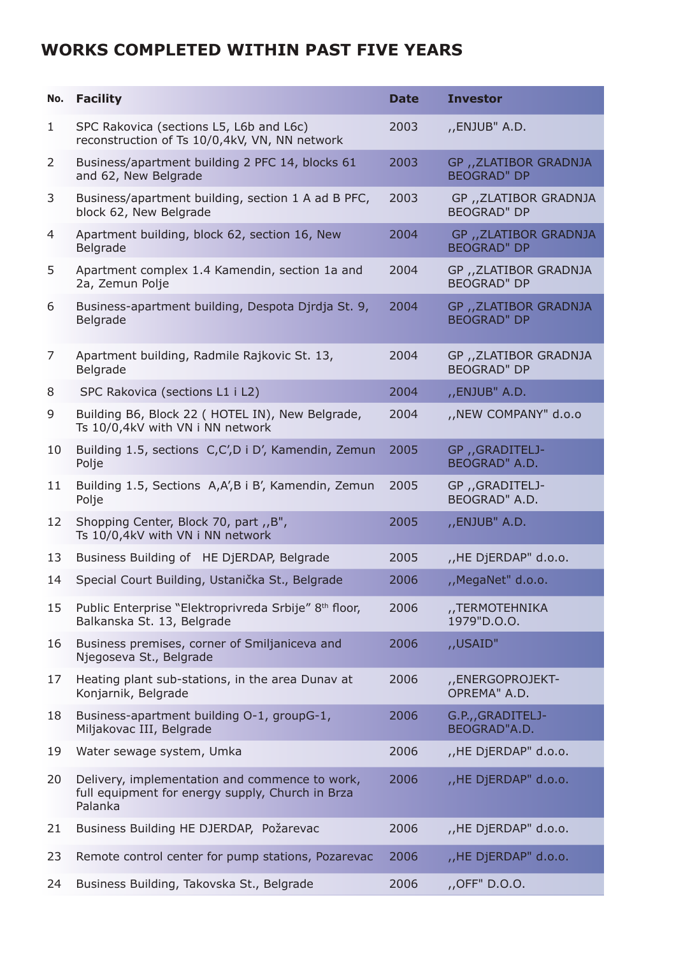## **Works completed within past five years**

| No.          | <b>Facility</b>                                                                                               | <b>Date</b> | <b>Investor</b>                              |
|--------------|---------------------------------------------------------------------------------------------------------------|-------------|----------------------------------------------|
| $\mathbf{1}$ | SPC Rakovica (sections L5, L6b and L6c)<br>reconstruction of Ts 10/0,4kV, VN, NN network                      | 2003        | "ENJUB" A.D.                                 |
| 2            | Business/apartment building 2 PFC 14, blocks 61<br>and 62, New Belgrade                                       | 2003        | GP , ZLATIBOR GRADNJA<br><b>BEOGRAD" DP</b>  |
| 3            | Business/apartment building, section 1 A ad B PFC,<br>block 62, New Belgrade                                  | 2003        | GP ,, ZLATIBOR GRADNJA<br><b>BEOGRAD" DP</b> |
| 4            | Apartment building, block 62, section 16, New<br>Belgrade                                                     | 2004        | GP ,, ZLATIBOR GRADNJA<br><b>BEOGRAD" DP</b> |
| 5            | Apartment complex 1.4 Kamendin, section 1a and<br>2a, Zemun Polje                                             | 2004        | GP, ZLATIBOR GRADNJA<br><b>BEOGRAD" DP</b>   |
| 6            | Business-apartment building, Despota Djrdja St. 9,<br>Belgrade                                                | 2004        | GP ,, ZLATIBOR GRADNJA<br><b>BEOGRAD" DP</b> |
| 7            | Apartment building, Radmile Rajkovic St. 13,<br>Belgrade                                                      | 2004        | GP ,, ZLATIBOR GRADNJA<br><b>BEOGRAD" DP</b> |
| 8            | SPC Rakovica (sections L1 i L2)                                                                               | 2004        | "ENJUB" A.D.                                 |
| 9            | Building B6, Block 22 ( HOTEL IN), New Belgrade,<br>Ts 10/0,4kV with VN i NN network                          | 2004        | "NEW COMPANY" d.o.o                          |
| 10           | Building 1.5, sections C,C',D i D', Kamendin, Zemun<br>Polje                                                  | 2005        | GP , GRADITELJ-<br>BEOGRAD" A.D.             |
| 11           | Building 1.5, Sections A,A',B i B', Kamendin, Zemun<br>Polje                                                  | 2005        | GP,GRADITELJ-<br>BEOGRAD" A.D.               |
| 12           | Shopping Center, Block 70, part , B",<br>Ts 10/0,4kV with VN i NN network                                     | 2005        | "ENJUB" A.D.                                 |
| 13           | Business Building of HE DjERDAP, Belgrade                                                                     | 2005        | "HE DjERDAP" d.o.o.                          |
| 14           | Special Court Building, Ustanička St., Belgrade                                                               | 2006        | "MegaNet" d.o.o.                             |
| 15           | Public Enterprise "Elektroprivreda Srbije" 8th floor,<br>Balkanska St. 13, Belgrade                           | 2006        | ,,TERMOTEHNIKA<br>1979"D.O.O.                |
| 16           | Business premises, corner of Smiljaniceva and<br>Njegoseva St., Belgrade                                      | 2006        | "USAID"                                      |
| 17           | Heating plant sub-stations, in the area Dunav at<br>Konjarnik, Belgrade                                       | 2006        | ,,ENERGOPROJEKT-<br>OPREMA" A.D.             |
| 18           | Business-apartment building O-1, groupG-1,<br>Miljakovac III, Belgrade                                        | 2006        | G.P.,, GRADITELJ-<br>BEOGRAD"A.D.            |
| 19           | Water sewage system, Umka                                                                                     | 2006        | "HE DjERDAP" d.o.o.                          |
| 20           | Delivery, implementation and commence to work,<br>full equipment for energy supply, Church in Brza<br>Palanka | 2006        | "HE DjERDAP" d.o.o.                          |
| 21           | Business Building HE DJERDAP, Požarevac                                                                       | 2006        | "HE DjERDAP" d.o.o.                          |
| 23           | Remote control center for pump stations, Pozarevac                                                            | 2006        | "HE DjERDAP" d.o.o.                          |
| 24           | Business Building, Takovska St., Belgrade                                                                     | 2006        | ,,OFF" D.O.O.                                |